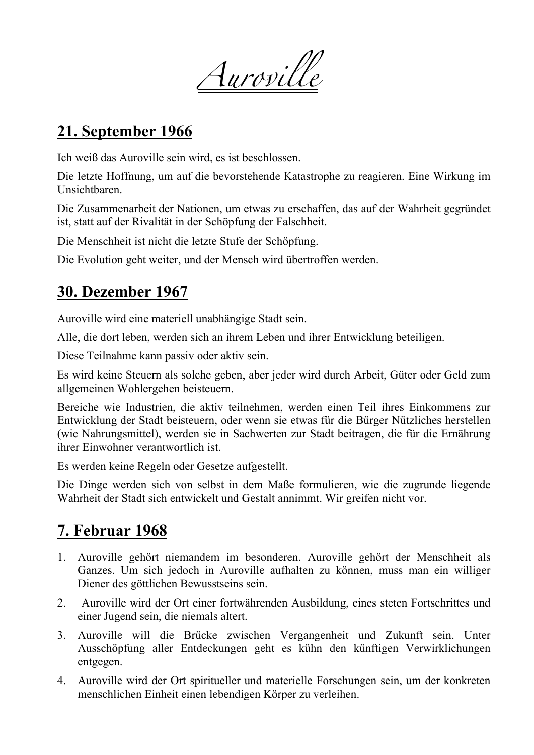*Auroville*

# **21. September 1966**

Ich weiß das Auroville sein wird, es ist beschlossen.

Die letzte Hoffnung, um auf die bevorstehende Katastrophe zu reagieren. Eine Wirkung im Unsichtbaren.

Die Zusammenarbeit der Nationen, um etwas zu erschaffen, das auf der Wahrheit gegründet ist, statt auf der Rivalität in der Schöpfung der Falschheit.

Die Menschheit ist nicht die letzte Stufe der Schöpfung.

Die Evolution geht weiter, und der Mensch wird übertroffen werden.

#### **30. Dezember 1967**

Auroville wird eine materiell unabhängige Stadt sein.

Alle, die dort leben, werden sich an ihrem Leben und ihrer Entwicklung beteiligen.

Diese Teilnahme kann passiv oder aktiv sein.

Es wird keine Steuern als solche geben, aber jeder wird durch Arbeit, Güter oder Geld zum allgemeinen Wohlergehen beisteuern.

Bereiche wie Industrien, die aktiv teilnehmen, werden einen Teil ihres Einkommens zur Entwicklung der Stadt beisteuern, oder wenn sie etwas für die Bürger Nützliches herstellen (wie Nahrungsmittel), werden sie in Sachwerten zur Stadt beitragen, die für die Ernährung ihrer Einwohner verantwortlich ist.

Es werden keine Regeln oder Gesetze aufgestellt.

Die Dinge werden sich von selbst in dem Maße formulieren, wie die zugrunde liegende Wahrheit der Stadt sich entwickelt und Gestalt annimmt. Wir greifen nicht vor.

# **7. Februar 1968**

- 1. Auroville gehört niemandem im besonderen. Auroville gehört der Menschheit als Ganzes. Um sich jedoch in Auroville aufhalten zu können, muss man ein williger Diener des göttlichen Bewusstseins sein.
- 2. Auroville wird der Ort einer fortwährenden Ausbildung, eines steten Fortschrittes und einer Jugend sein, die niemals altert.
- 3. Auroville will die Brücke zwischen Vergangenheit und Zukunft sein. Unter Ausschöpfung aller Entdeckungen geht es kühn den künftigen Verwirklichungen entgegen.
- 4. Auroville wird der Ort spiritueller und materielle Forschungen sein, um der konkreten menschlichen Einheit einen lebendigen Körper zu verleihen.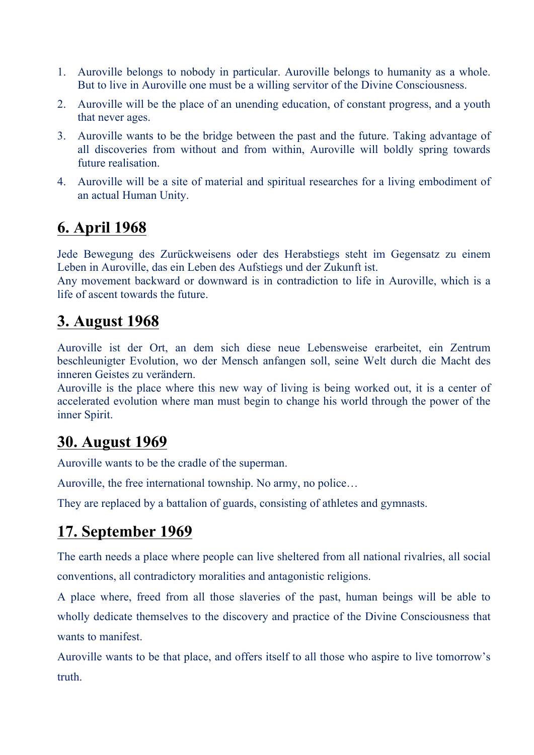- 1. Auroville belongs to nobody in particular. Auroville belongs to humanity as a whole. But to live in Auroville one must be a willing servitor of the Divine Consciousness.
- 2. Auroville will be the place of an unending education, of constant progress, and a youth that never ages.
- 3. Auroville wants to be the bridge between the past and the future. Taking advantage of all discoveries from without and from within, Auroville will boldly spring towards future realisation.
- 4. Auroville will be a site of material and spiritual researches for a living embodiment of an actual Human Unity.

## **6. April 1968**

Jede Bewegung des Zurückweisens oder des Herabstiegs steht im Gegensatz zu einem Leben in Auroville, das ein Leben des Aufstiegs und der Zukunft ist.

Any movement backward or downward is in contradiction to life in Auroville, which is a life of ascent towards the future.

#### **3. August 1968**

Auroville ist der Ort, an dem sich diese neue Lebensweise erarbeitet, ein Zentrum beschleunigter Evolution, wo der Mensch anfangen soll, seine Welt durch die Macht des inneren Geistes zu verändern.

Auroville is the place where this new way of living is being worked out, it is a center of accelerated evolution where man must begin to change his world through the power of the inner Spirit.

#### **30. August 1969**

Auroville wants to be the cradle of the superman.

Auroville, the free international township. No army, no police…

They are replaced by a battalion of guards, consisting of athletes and gymnasts.

## **17. September 1969**

The earth needs a place where people can live sheltered from all national rivalries, all social conventions, all contradictory moralities and antagonistic religions.

A place where, freed from all those slaveries of the past, human beings will be able to wholly dedicate themselves to the discovery and practice of the Divine Consciousness that wants to manifest.

Auroville wants to be that place, and offers itself to all those who aspire to live tomorrow's truth.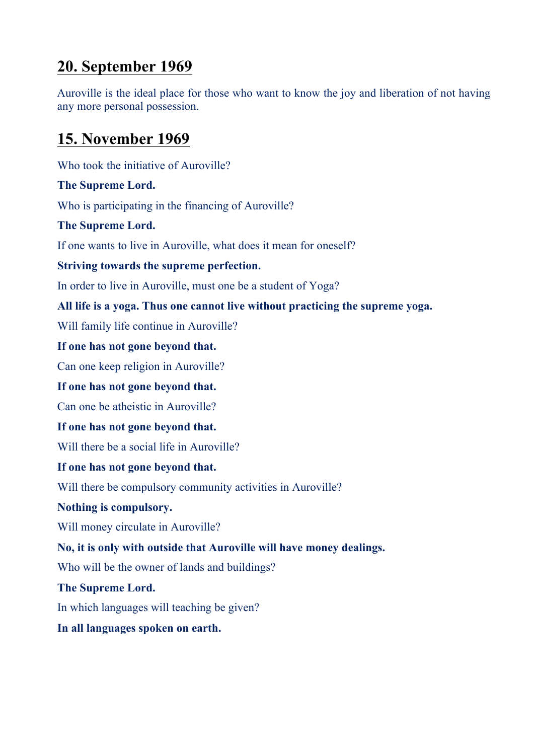## **20. September 1969**

Auroville is the ideal place for those who want to know the joy and liberation of not having any more personal possession.

# **15. November 1969**

Who took the initiative of Auroville? **The Supreme Lord.** Who is participating in the financing of Auroville? **The Supreme Lord.** If one wants to live in Auroville, what does it mean for oneself? **Striving towards the supreme perfection.** In order to live in Auroville, must one be a student of Yoga? **All life is a yoga. Thus one cannot live without practicing the supreme yoga.** Will family life continue in Auroville? **If one has not gone beyond that.** Can one keep religion in Auroville? **If one has not gone beyond that.** Can one be atheistic in Auroville? **If one has not gone beyond that.** Will there be a social life in Auroville? **If one has not gone beyond that.** Will there be compulsory community activities in Auroville? **Nothing is compulsory.** Will money circulate in Auroville? **No, it is only with outside that Auroville will have money dealings.** Who will be the owner of lands and buildings? **The Supreme Lord.** In which languages will teaching be given? **In all languages spoken on earth.**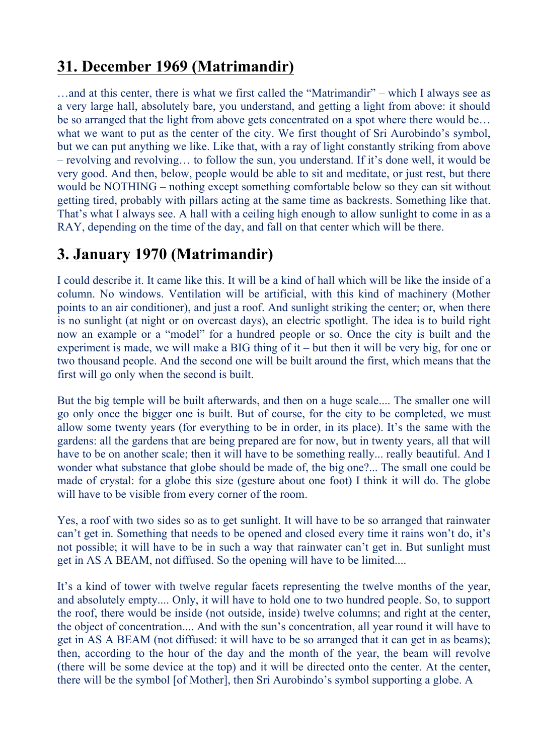# **31. December 1969 (Matrimandir)**

…and at this center, there is what we first called the "Matrimandir" – which I always see as a very large hall, absolutely bare, you understand, and getting a light from above: it should be so arranged that the light from above gets concentrated on a spot where there would be... what we want to put as the center of the city. We first thought of Sri Aurobindo's symbol, but we can put anything we like. Like that, with a ray of light constantly striking from above – revolving and revolving… to follow the sun, you understand. If it's done well, it would be very good. And then, below, people would be able to sit and meditate, or just rest, but there would be NOTHING – nothing except something comfortable below so they can sit without getting tired, probably with pillars acting at the same time as backrests. Something like that. That's what I always see. A hall with a ceiling high enough to allow sunlight to come in as a RAY, depending on the time of the day, and fall on that center which will be there.

## **3. January 1970 (Matrimandir)**

I could describe it. It came like this. It will be a kind of hall which will be like the inside of a column. No windows. Ventilation will be artificial, with this kind of machinery (Mother points to an air conditioner), and just a roof. And sunlight striking the center; or, when there is no sunlight (at night or on overcast days), an electric spotlight. The idea is to build right now an example or a "model" for a hundred people or so. Once the city is built and the experiment is made, we will make a BIG thing of it – but then it will be very big, for one or two thousand people. And the second one will be built around the first, which means that the first will go only when the second is built.

But the big temple will be built afterwards, and then on a huge scale.... The smaller one will go only once the bigger one is built. But of course, for the city to be completed, we must allow some twenty years (for everything to be in order, in its place). It's the same with the gardens: all the gardens that are being prepared are for now, but in twenty years, all that will have to be on another scale; then it will have to be something really... really beautiful. And I wonder what substance that globe should be made of, the big one?... The small one could be made of crystal: for a globe this size (gesture about one foot) I think it will do. The globe will have to be visible from every corner of the room.

Yes, a roof with two sides so as to get sunlight. It will have to be so arranged that rainwater can't get in. Something that needs to be opened and closed every time it rains won't do, it's not possible; it will have to be in such a way that rainwater can't get in. But sunlight must get in AS A BEAM, not diffused. So the opening will have to be limited....

It's a kind of tower with twelve regular facets representing the twelve months of the year, and absolutely empty.... Only, it will have to hold one to two hundred people. So, to support the roof, there would be inside (not outside, inside) twelve columns; and right at the center, the object of concentration.... And with the sun's concentration, all year round it will have to get in AS A BEAM (not diffused: it will have to be so arranged that it can get in as beams); then, according to the hour of the day and the month of the year, the beam will revolve (there will be some device at the top) and it will be directed onto the center. At the center, there will be the symbol [of Mother], then Sri Aurobindo's symbol supporting a globe. A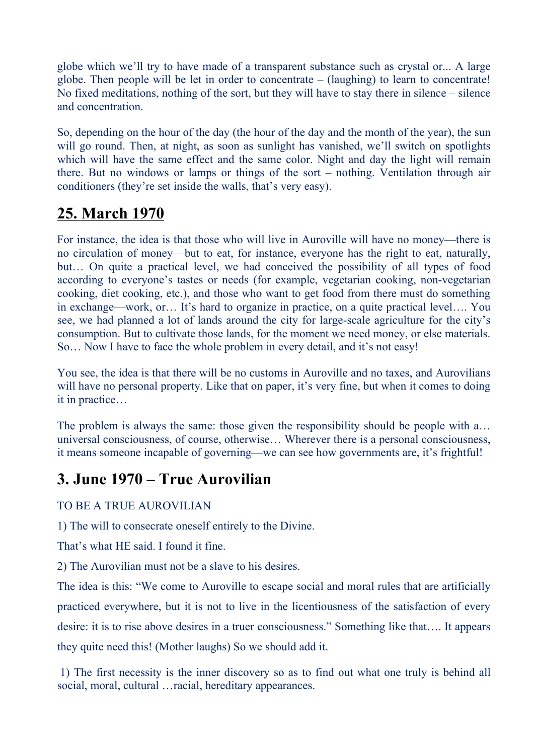globe which we'll try to have made of a transparent substance such as crystal or... A large globe. Then people will be let in order to concentrate – (laughing) to learn to concentrate! No fixed meditations, nothing of the sort, but they will have to stay there in silence – silence and concentration.

So, depending on the hour of the day (the hour of the day and the month of the year), the sun will go round. Then, at night, as soon as sunlight has vanished, we'll switch on spotlights which will have the same effect and the same color. Night and day the light will remain there. But no windows or lamps or things of the sort – nothing. Ventilation through air conditioners (they're set inside the walls, that's very easy).

## **25. March 1970**

For instance, the idea is that those who will live in Auroville will have no money—there is no circulation of money—but to eat, for instance, everyone has the right to eat, naturally, but… On quite a practical level, we had conceived the possibility of all types of food according to everyone's tastes or needs (for example, vegetarian cooking, non-vegetarian cooking, diet cooking, etc.), and those who want to get food from there must do something in exchange—work, or… It's hard to organize in practice, on a quite practical level…. You see, we had planned a lot of lands around the city for large-scale agriculture for the city's consumption. But to cultivate those lands, for the moment we need money, or else materials. So… Now I have to face the whole problem in every detail, and it's not easy!

You see, the idea is that there will be no customs in Auroville and no taxes, and Aurovilians will have no personal property. Like that on paper, it's very fine, but when it comes to doing it in practice…

The problem is always the same: those given the responsibility should be people with a... universal consciousness, of course, otherwise… Wherever there is a personal consciousness, it means someone incapable of governing—we can see how governments are, it's frightful!

## **3. June 1970 – True Aurovilian**

#### TO BE A TRUE AUROVILIAN

1) The will to consecrate oneself entirely to the Divine.

That's what HE said. I found it fine.

2) The Aurovilian must not be a slave to his desires.

The idea is this: "We come to Auroville to escape social and moral rules that are artificially practiced everywhere, but it is not to live in the licentiousness of the satisfaction of every desire: it is to rise above desires in a truer consciousness." Something like that…. It appears they quite need this! (Mother laughs) So we should add it.

1) The first necessity is the inner discovery so as to find out what one truly is behind all social, moral, cultural …racial, hereditary appearances.